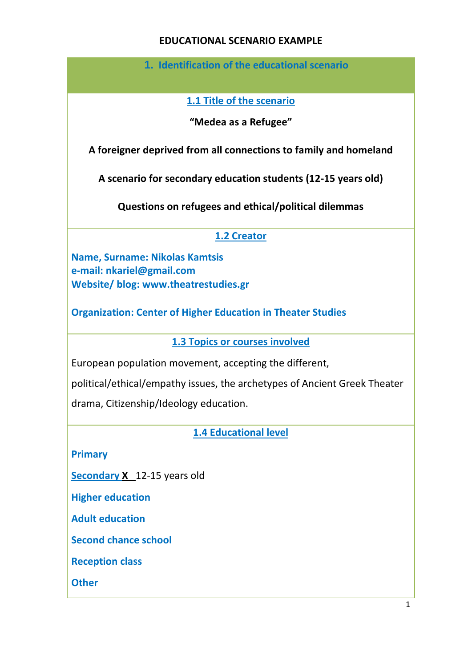#### **EDUCATIONAL SCENARIO EXAMPLE**

**1. Identification of the educational scenario**

**1.1 Title of the scenario**

**"Medea as a Refugee"**

**A foreigner deprived from all connections to family and homeland**

**A scenario for secondary education students (12-15 years old)**

**Questions on refugees and ethical/political dilemmas** 

# **1.2 Creator**

**Name, Surname: Nikolas Kamtsis e-mail: nkariel@gmail.com Website/ blog: www.theatrestudies.gr** 

**Organization: Center of Higher Education in Theater Studies** 

**1.3 Topics or courses involved**

European population movement, accepting the different,

political/ethical/empathy issues, the archetypes of Ancient Greek Theater

drama, Citizenship/Ideology education.

**1.4 Educational level** 

**Primary**

**Secondary X** 12-15 years old

**Higher education** 

**Adult education**

**Second chance school**

**Reception class**

**Other**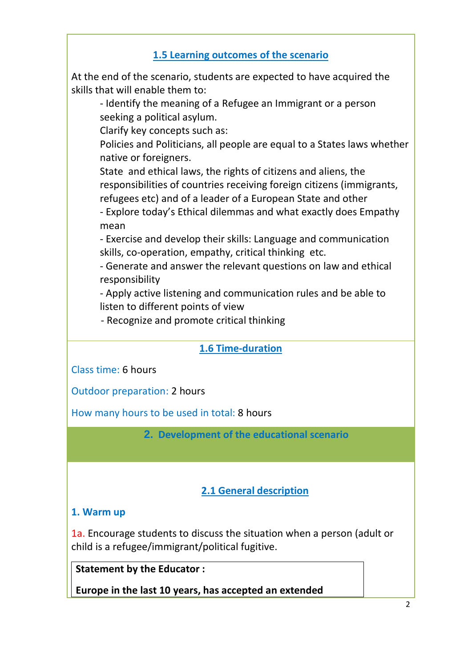## **1.5 Learning outcomes of the scenario**

At the end of the scenario, students are expected to have acquired the skills that will enable them to:

- Identify the meaning of a Refugee an Immigrant or a person seeking a political asylum.

Clarify key concepts such as:

Policies and Politicians, all people are equal to a States laws whether native or foreigners.

State and ethical laws, the rights of citizens and aliens, the responsibilities of countries receiving foreign citizens (immigrants, refugees etc) and of a leader of a European State and other

- Explore today's Ethical dilemmas and what exactly does Empathy mean

- Exercise and develop their skills: Language and communication skills, co-operation, empathy, critical thinking etc.

- Generate and answer the relevant questions on law and ethical responsibility

- Apply active listening and communication rules and be able to listen to different points of view

- Recognize and promote critical thinking

## **1.6 Time-duration**

Class time: 6 hours

Outdoor preparation: 2 hours

How many hours to be used in total: 8 hours

**2. Development of the educational scenario**

## **2.1 General description**

#### **1. Warm up**

1a. Encourage students to discuss the situation when a person (adult or child is a refugee/immigrant/political fugitive.

**Statement by the Educator :** 

**Europe in the last 10 years, has accepted an extended**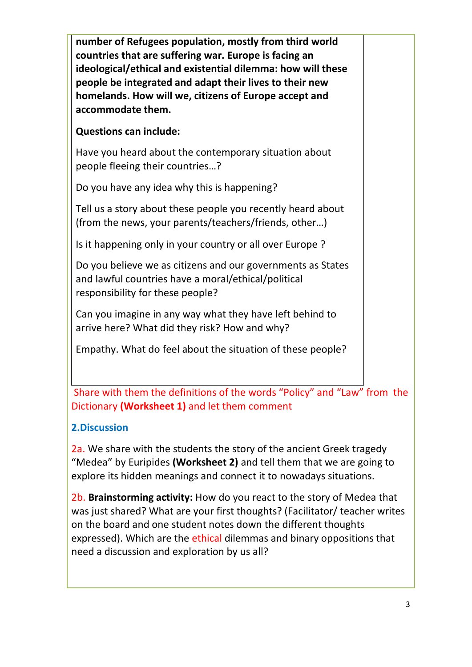**number of Refugees population, mostly from third world countries that are suffering war. Europe is facing an ideological/ethical and existential dilemma: how will these people be integrated and adapt their lives to their new homelands. How will we, citizens of Europe accept and accommodate them.**

## **Questions can include:**

Have you heard about the contemporary situation about people fleeing their countries…?

Do you have any idea why this is happening?

Tell us a story about these people you recently heard about (from the news, your parents/teachers/friends, other…)

Is it happening only in your country or all over Europe ?

Do you believe we as citizens and our governments as States and lawful countries have a moral/ethical/political responsibility for these people?

Can you imagine in any way what they have left behind to arrive here? What did they risk? How and why?

Empathy. What do feel about the situation of these people?

Share with them the definitions of the words "Policy" and "Law" from the Dictionary **(Worksheet 1)** and let them comment

## **2.Discussion**

2a. We share with the students the story of the ancient Greek tragedy "Medea" by Euripides **(Worksheet 2)** and tell them that we are going to explore its hidden meanings and connect it to nowadays situations.

2b. **Brainstorming activity:** How do you react to the story of Medea that was just shared? What are your first thoughts? (Facilitator/ teacher writes on the board and one student notes down the different thoughts expressed). Which are the ethical dilemmas and binary oppositions that need a discussion and exploration by us all?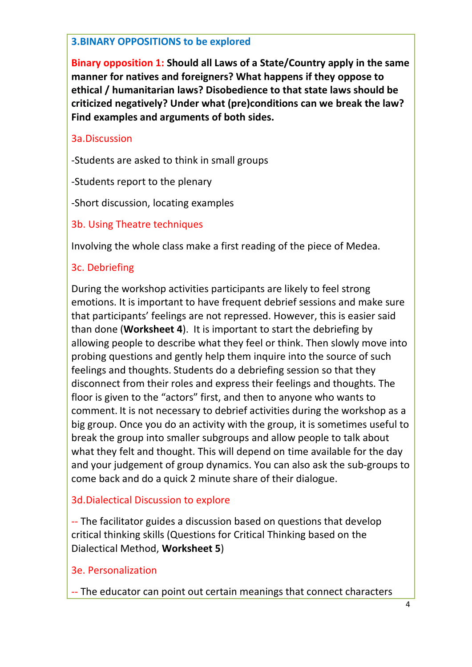#### **3.BINARY OPPOSITIONS to be explored**

**Binary opposition 1: Should all Laws of a State/Country apply in the same manner for natives and foreigners? What happens if they oppose to ethical / humanitarian laws? Disobedience to that state laws should be criticized negatively? Under what (pre)conditions can we break the law? Find examples and arguments of both sides.** 

#### 3a.Discussion

-Students are asked to think in small groups

-Students report to the plenary

-Short discussion, locating examples

3b. Using Theatre techniques

Involving the whole class make a first reading of the piece of Medea.

## 3c. Debriefing

During the workshop activities participants are likely to feel strong emotions. It is important to have frequent debrief sessions and make sure that participants' feelings are not repressed. However, this is easier said than done (**Worksheet 4**). It is important to start the debriefing by allowing people to describe what they feel or think. Then slowly move into probing questions and gently help them inquire into the source of such feelings and thoughts. Students do a debriefing session so that they disconnect from their roles and express their feelings and thoughts. The floor is given to the "actors" first, and then to anyone who wants to comment. It is not necessary to debrief activities during the workshop as a big group. Once you do an activity with the group, it is sometimes useful to break the group into smaller subgroups and allow people to talk about what they felt and thought. This will depend on time available for the day and your judgement of group dynamics. You can also ask the sub-groups to come back and do a quick 2 minute share of their dialogue.

## 3d.Dialectical Discussion to explore

-- The facilitator guides a discussion based on questions that develop critical thinking skills (Questions for Critical Thinking based on the Dialectical Method, **Worksheet 5**)

#### 3e. Personalization

-- The educator can point out certain meanings that connect characters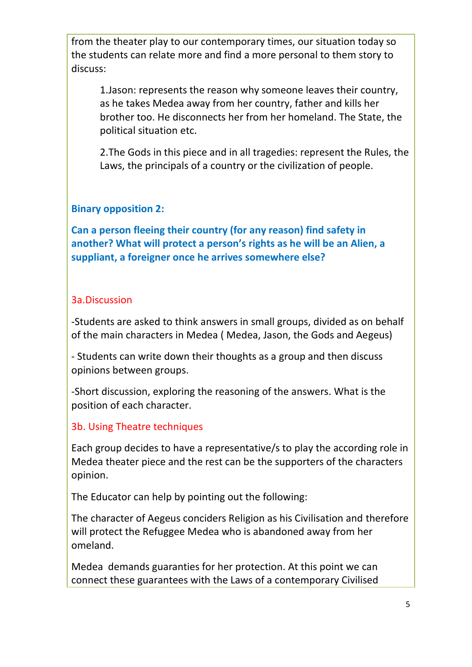from the theater play to our contemporary times, our situation today so the students can relate more and find a more personal to them story to discuss:

1.Jason: represents the reason why someone leaves their country, as he takes Medea away from her country, father and kills her brother too. He disconnects her from her homeland. The State, the political situation etc.

2.The Gods in this piece and in all tragedies: represent the Rules, the Laws, the principals of a country or the civilization of people.

#### **Binary opposition 2:**

**Can a person fleeing their country (for any reason) find safety in another? What will protect a person's rights as he will be an Alien, a suppliant, a foreigner once he arrives somewhere else?**

#### 3a.Discussion

-Students are asked to think answers in small groups, divided as on behalf of the main characters in Medea ( Medea, Jason, the Gods and Aegeus)

- Students can write down their thoughts as a group and then discuss opinions between groups.

-Short discussion, exploring the reasoning of the answers. What is the position of each character.

## 3b. Using Theatre techniques

Each group decides to have a representative/s to play the according role in Medea theater piece and the rest can be the supporters of the characters opinion.

The Educator can help by pointing out the following:

The character of Aegeus conciders Religion as his Civilisation and therefore will protect the Refuggee Medea who is abandoned away from her omeland.

Medea demands guaranties for her protection. At this point we can connect these guarantees with the Laws of a contemporary Civilised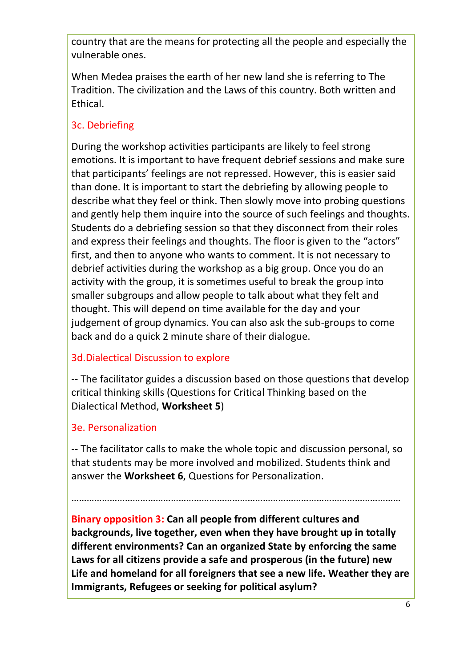country that are the means for protecting all the people and especially the vulnerable ones.

When Medea praises the earth of her new land she is referring to The Tradition. The civilization and the Laws of this country. Both written and Ethical.

# 3c. Debriefing

During the workshop activities participants are likely to feel strong emotions. It is important to have frequent debrief sessions and make sure that participants' feelings are not repressed. However, this is easier said than done. It is important to start the debriefing by allowing people to describe what they feel or think. Then slowly move into probing questions and gently help them inquire into the source of such feelings and thoughts. Students do a debriefing session so that they disconnect from their roles and express their feelings and thoughts. The floor is given to the "actors" first, and then to anyone who wants to comment. It is not necessary to debrief activities during the workshop as a big group. Once you do an activity with the group, it is sometimes useful to break the group into smaller subgroups and allow people to talk about what they felt and thought. This will depend on time available for the day and your judgement of group dynamics. You can also ask the sub-groups to come back and do a quick 2 minute share of their dialogue.

## 3d.Dialectical Discussion to explore

-- The facilitator guides a discussion based on those questions that develop critical thinking skills (Questions for Critical Thinking based on the Dialectical Method, **Worksheet 5**)

## 3e. Personalization

-- The facilitator calls to make the whole topic and discussion personal, so that students may be more involved and mobilized. Students think and answer the **Worksheet 6**, Questions for Personalization.

…………………………………………………………………………………………………………………

**Binary opposition 3: Can all people from different cultures and backgrounds, live together, even when they have brought up in totally different environments? Can an organized State by enforcing the same Laws for all citizens provide a safe and prosperous (in the future) new Life and homeland for all foreigners that see a new life. Weather they are Immigrants, Refugees or seeking for political asylum?**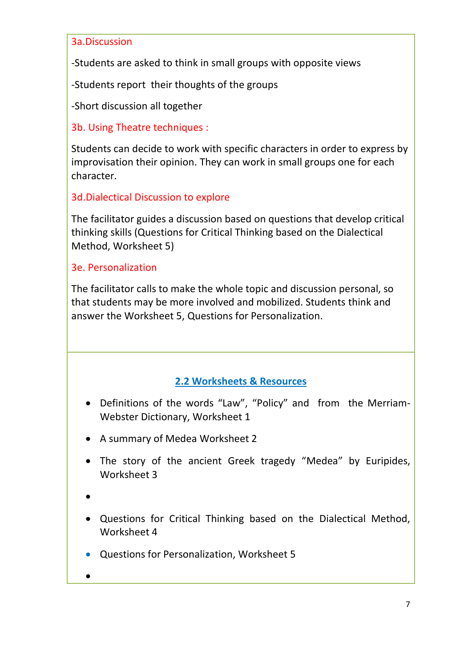#### 3a.Discussion

-Students are asked to think in small groups with opposite views

-Students report their thoughts of the groups

-Short discussion all together

3b. Using Theatre techniques :

Students can decide to work with specific characters in order to express by improvisation their opinion. They can work in small groups one for each character.

#### 3d.Dialectical Discussion to explore

The facilitator guides a discussion based on questions that develop critical thinking skills (Questions for Critical Thinking based on the Dialectical Method, Worksheet 5)

#### 3e. Personalization

The facilitator calls to make the whole topic and discussion personal, so that students may be more involved and mobilized. Students think and answer the Worksheet 5, Questions for Personalization.

## **2.2 Worksheets & Resources**

- Definitions of the words "Law", "Policy" and from the Merriam-Webster Dictionary, Worksheet 1
- A summary of Medea Worksheet 2
- The story of the ancient Greek tragedy "Medea" by Euripides, Worksheet 3
- •
- Questions for Critical Thinking based on the Dialectical Method, Worksheet 4
- Questions for Personalization, Worksheet 5

• **i**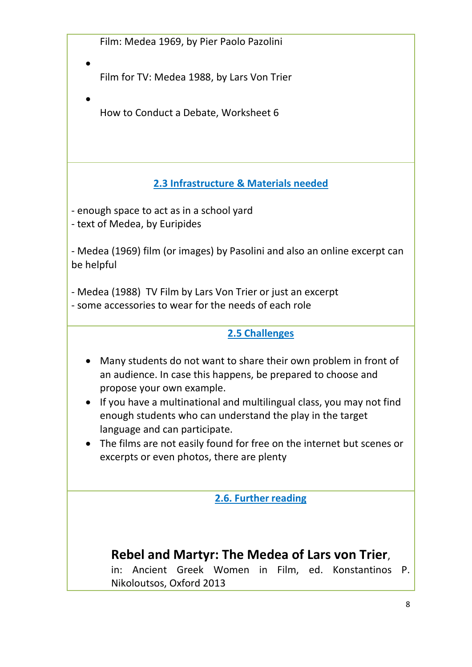Film: Medea 1969, by Pier Paolo Pazolini

 $\bullet$  Fig. . The contract of the contract of the contract of the contract of the contract of the contract of the contract of the contract of the contract of the contract of the contract of the contract of the contract of t

Film for TV: Medea 1988, by Lars Von Trier

 $\bullet$  is a set of the contract of the contract of the contract of the contract of the contract of the contract of the contract of the contract of the contract of the contract of the contract of the contract of the contract How to Conduct a Debate, Worksheet 6

# **2.3 Infrastructure & Materials needed**

- enough space to act as in a school yard - text of Medea, by Euripides

- Medea (1969) film (or images) by Pasolini and also an online excerpt can be helpful

- Medea (1988) TV Film by Lars Von Trier or just an excerpt - some accessories to wear for the needs of each role

#### **2.5 Challenges**

- Many students do not want to share their own problem in front of an audience. In case this happens, be prepared to choose and propose your own example.
- If you have a multinational and multilingual class, you may not find enough students who can understand the play in the target language and can participate.
- The films are not easily found for free on the internet but scenes or excerpts or even photos, there are plenty

## **2.6. Further reading**

# **Rebel and Martyr: The Medea of Lars von Trier**,

in: Ancient Greek Women in Film, ed. Konstantinos P. Nikoloutsos, Oxford 2013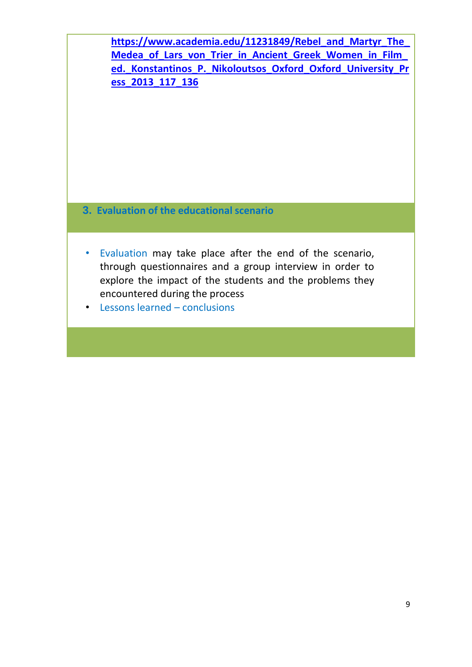**[https://www.academia.edu/11231849/Rebel\\_and\\_Martyr\\_The\\_](https://www.academia.edu/11231849/Rebel_and_Martyr_The_Medea_of_Lars_von_Trier_in_Ancient_Greek_Women_in_Film_ed._Konstantinos_P._Nikoloutsos_Oxford_Oxford_University_Press_2013_117_136) [Medea\\_of\\_Lars\\_von\\_Trier\\_in\\_Ancient\\_Greek\\_Women\\_in\\_Film\\_](https://www.academia.edu/11231849/Rebel_and_Martyr_The_Medea_of_Lars_von_Trier_in_Ancient_Greek_Women_in_Film_ed._Konstantinos_P._Nikoloutsos_Oxford_Oxford_University_Press_2013_117_136) [ed.\\_Konstantinos\\_P.\\_Nikoloutsos\\_Oxford\\_Oxford\\_University\\_Pr](https://www.academia.edu/11231849/Rebel_and_Martyr_The_Medea_of_Lars_von_Trier_in_Ancient_Greek_Women_in_Film_ed._Konstantinos_P._Nikoloutsos_Oxford_Oxford_University_Press_2013_117_136) [ess\\_2013\\_117\\_136](https://www.academia.edu/11231849/Rebel_and_Martyr_The_Medea_of_Lars_von_Trier_in_Ancient_Greek_Women_in_Film_ed._Konstantinos_P._Nikoloutsos_Oxford_Oxford_University_Press_2013_117_136)**

- **3. Evaluation of the educational scenario**
- Evaluation may take place after the end of the scenario, through questionnaires and a group interview in order to explore the impact of the students and the problems they encountered during the process
- Lessons learned conclusions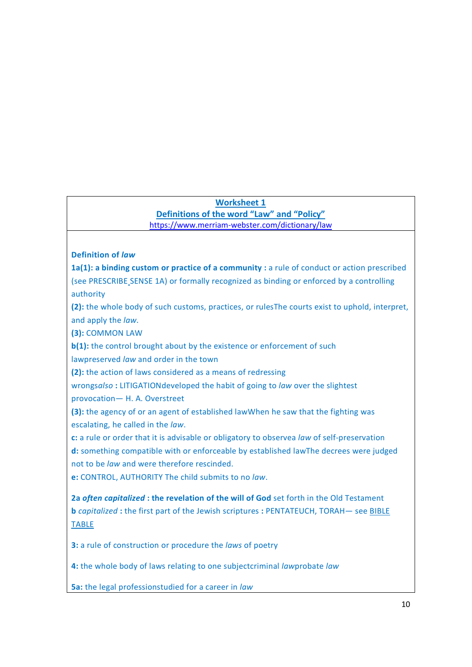#### **Worksheet 1**

**Definitions of the word "Law" and "Policy"** <https://www.merriam-webster.com/dictionary/law>

#### **Definition of** *law*

**1a(1): a binding custom or practice of a community :** a rule of conduct or action prescribed (see [PRESCRIBE](https://www.merriam-webster.com/dictionary/prescribe) SENSE 1A) or formally recognized as binding or enforced by a controlling authority

**(2):** the whole body of such customs, practices, or rulesThe courts exist to uphold, interpret, and apply the *law*.

**(3):** [COMMON](https://www.merriam-webster.com/dictionary/common%20law) LAW

**b(1):** the control brought about by the existence or enforcement of such

lawpreserved *law* and order in the town

**(2):** the action of laws considered as a means of redressing

wrongs*also* **:** [LITIGATIONd](https://www.merriam-webster.com/dictionary/litigation)eveloped the habit of going to *law* over the slightest

provocation— H. A. Overstreet

**(3):** the agency of or an agent of established lawWhen he saw that the fighting was escalating, he called in the *law*.

**c:** a rule or order that it is advisable or obligatory to observea *law* of self-preservation **d:** something compatible with or enforceable by established lawThe decrees were judged not to be *law* and were therefore rescinded.

**e:** [CONTROL,](https://www.merriam-webster.com/dictionary/control) [AUTHORITY](https://www.merriam-webster.com/dictionary/authority) The child submits to no *law*.

**2a** *often capitalized* **: the revelation of the will of God** set forth in the Old Testament **b** *capitalized* **:** the first part of the Jewish scriptures **:** [PENTATEUCH,](https://www.merriam-webster.com/dictionary/pentateuch) [TORAH](https://www.merriam-webster.com/dictionary/torah)— see [BIBLE](https://www.merriam-webster.com/dictionary/bible#table) [TABLE](https://www.merriam-webster.com/dictionary/bible#table)

**3:** a rule of construction or procedure the *laws* of poetry

**4:** the whole body of laws relating to one subjectcriminal *law*probate *law*

**5a:** the legal professionstudied for a career in *law*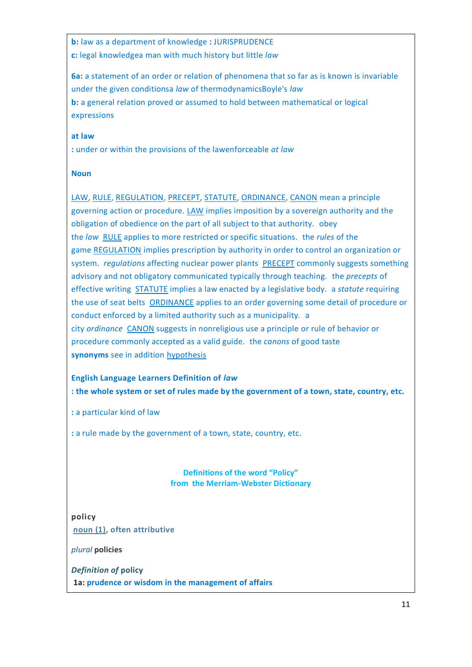**b:** law as a department of knowledge **:** [JURISPRUDENCE](https://www.merriam-webster.com/dictionary/jurisprudence) **c:** legal knowledgea man with much history but little *law*

**6a:** a statement of an order or relation of phenomena that so far as is known is invariable under the given conditionsa *law* of thermodynamicsBoyle's *law* **b:** a general relation proved or assumed to hold between mathematical or logical expressions

#### **at law**

**:** under or within the provisions of the lawenforceable *at law*

#### **Noun**

[LAW,](https://www.merriam-webster.com/dictionary/law) [RULE,](https://www.merriam-webster.com/dictionary/rule) [REGULATION,](https://www.merriam-webster.com/dictionary/regulation) [PRECEPT,](https://www.merriam-webster.com/dictionary/precept) [STATUTE,](https://www.merriam-webster.com/dictionary/statute) [ORDINANCE,](https://www.merriam-webster.com/dictionary/ordinance) [CANON](https://www.merriam-webster.com/dictionary/canon) mean a principle governing action or procedure. [LAW](https://www.merriam-webster.com/dictionary/law) implies imposition by a sovereign authority and the obligation of obedience on the part of all subject to that authority. obey the *law* [RULE](https://www.merriam-webster.com/dictionary/rule) applies to more restricted or specific situations. the *rules* of the game [REGULATION](https://www.merriam-webster.com/dictionary/regulation) implies prescription by authority in order to control an organization or system. *regulations* affecting nuclear power plants [PRECEPT](https://www.merriam-webster.com/dictionary/precept) commonly suggests something advisory and not obligatory communicated typically through teaching. the *precepts* of effective writing [STATUTE](https://www.merriam-webster.com/dictionary/statute) implies a law enacted by a legislative body. a *statute* requiring the use of seat belts [ORDINANCE](https://www.merriam-webster.com/dictionary/ordinance) applies to an order governing some detail of procedure or conduct enforced by a limited authority such as a municipality. a city *ordinance* [CANON](https://www.merriam-webster.com/dictionary/canon) suggests in nonreligious use a principle or rule of behavior or procedure commonly accepted as a valid guide. the *canons* of good taste **synonyms** see in addition [hypothesis](https://www.merriam-webster.com/dictionary/hypothesis)

#### **English Language Learners Definition of** *law* **: the whole system or set of rules made by the government of a town, state, country, etc.**

**:** a particular kind of law

**:** a rule made by the government of a town, state, country, etc.

#### **Definitions of the word "Policy" from the Merriam-Webster Dictionary**

**policy [noun](https://www.merriam-webster.com/dictionary/noun) (1), often attributive**

*plural* **policies**

*Definition of* **policy 1a: prudence or wisdom in the management of affairs**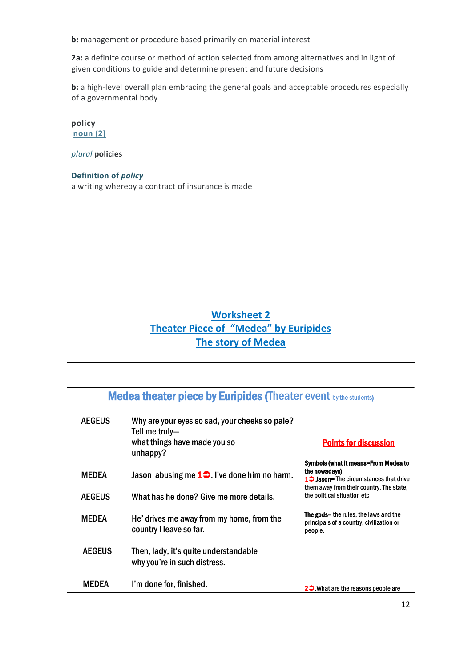**b:** management or procedure based primarily on material interest

**2a:** a definite course or method of action selected from among alternatives and in light of given conditions to guide and determine present and future decisions

**b:** a high-level overall plan embracing the general goals and acceptable procedures especially of a governmental body

**policy [noun](https://www.merriam-webster.com/dictionary/noun) (2)**

*plural* **policies**

**Definition of** *policy* a writing whereby a contract of insurance is made

# **Worksheet 2 Theater Piece of "Medea" by Euripides The story of Medea**

| <b>Medea theater piece by Euripides (Theater event by the students)</b> |                                                                                                              |                                                                                                                                                                                               |  |  |
|-------------------------------------------------------------------------|--------------------------------------------------------------------------------------------------------------|-----------------------------------------------------------------------------------------------------------------------------------------------------------------------------------------------|--|--|
| <b>AEGEUS</b>                                                           | Why are your eyes so sad, your cheeks so pale?<br>Tell me truly-<br>what things have made you so<br>unhappy? | <b>Points for discussion</b>                                                                                                                                                                  |  |  |
| <b>MFDFA</b><br><b>AEGEUS</b>                                           | Jason abusing me $1 \bigcirc$ . I've done him no harm.<br>What has he done? Give me more details.            | <b>Symbols (what it means=From Medea to</b><br>the nowadays)<br>1 <sup>2</sup> Jason= The circumstances that drive<br>them away from their country. The state,<br>the political situation etc |  |  |
| <b>MEDEA</b>                                                            | He' drives me away from my home, from the<br>country I leave so far.                                         | <b>The gods=</b> the rules, the laws and the<br>principals of a country, civilization or<br>people.                                                                                           |  |  |
| <b>AEGEUS</b>                                                           | Then, lady, it's quite understandable<br>why you're in such distress.                                        |                                                                                                                                                                                               |  |  |
| <b>MFDFA</b>                                                            | I'm done for, finished.                                                                                      | 2 <sup>0</sup> What are the reasons people are                                                                                                                                                |  |  |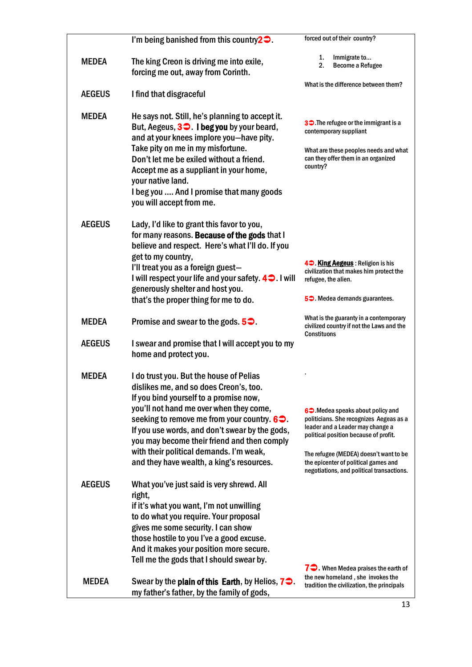|               | I'm being banished from this country $2 \bullet$ .                                                                                                                                                                                                                                                                                                                                                                      | forced out of their country?                                                                                                                                                                                                                                                                          |
|---------------|-------------------------------------------------------------------------------------------------------------------------------------------------------------------------------------------------------------------------------------------------------------------------------------------------------------------------------------------------------------------------------------------------------------------------|-------------------------------------------------------------------------------------------------------------------------------------------------------------------------------------------------------------------------------------------------------------------------------------------------------|
| <b>MEDEA</b>  | The king Creon is driving me into exile,<br>forcing me out, away from Corinth.                                                                                                                                                                                                                                                                                                                                          | 1.<br>Immigrate to<br>2.<br><b>Become a Refugee</b>                                                                                                                                                                                                                                                   |
| <b>AEGEUS</b> | I find that disgraceful                                                                                                                                                                                                                                                                                                                                                                                                 | What is the difference between them?                                                                                                                                                                                                                                                                  |
|               |                                                                                                                                                                                                                                                                                                                                                                                                                         |                                                                                                                                                                                                                                                                                                       |
| <b>MEDEA</b>  | He says not. Still, he's planning to accept it.<br>But, Aegeus, $3\blacktriangleright$ . I beg you by your beard,<br>and at your knees implore you-have pity.<br>Take pity on me in my misfortune.<br>Don't let me be exiled without a friend.<br>Accept me as a suppliant in your home,<br>your native land.<br>I beg you  And I promise that many goods<br>you will accept from me.                                   | <b>30.</b> The refugee or the immigrant is a<br>contemporary suppliant<br>What are these peoples needs and what<br>can they offer them in an organized<br>country?                                                                                                                                    |
| <b>AEGEUS</b> | Lady, I'd like to grant this favor to you,<br>for many reasons. Because of the gods that I<br>believe and respect. Here's what I'll do. If you<br>get to my country,<br>I'll treat you as a foreign guest-<br>I will respect your life and your safety. 4 <sup>2</sup> . I will<br>generously shelter and host you.<br>that's the proper thing for me to do.                                                            | 4 <sup>o</sup> . King Aegeus: Religion is his<br>civilization that makes him protect the<br>refugee, the alien.<br>5 <sup>o</sup> . Medea demands guarantees.                                                                                                                                         |
| <b>MEDEA</b>  | Promise and swear to the gods $5\degree$ .                                                                                                                                                                                                                                                                                                                                                                              | What is the guaranty in a contemporary<br>civilized country if not the Laws and the<br><b>Constituons</b>                                                                                                                                                                                             |
| <b>AEGEUS</b> | I swear and promise that I will accept you to my<br>home and protect you.                                                                                                                                                                                                                                                                                                                                               |                                                                                                                                                                                                                                                                                                       |
| <b>MEDEA</b>  | I do trust you. But the house of Pelias<br>dislikes me, and so does Creon's, too.<br>If you bind yourself to a promise now,<br>you'll not hand me over when they come,<br>seeking to remove me from your country. $6\degree$ .<br>If you use words, and don't swear by the gods,<br>you may become their friend and then comply<br>with their political demands. I'm weak,<br>and they have wealth, a king's resources. | 6 <sup>o</sup> . Medea speaks about policy and<br>politicians. She recognizes Aegeas as a<br>leader and a Leader may change a<br>political position because of profit.<br>The refugee (MEDEA) doesn't want to be<br>the epicenter of political games and<br>negotiations, and political transactions. |
| <b>AEGEUS</b> | What you've just said is very shrewd. All<br>right,<br>if it's what you want, I'm not unwilling<br>to do what you require. Your proposal<br>gives me some security. I can show<br>those hostile to you I've a good excuse.<br>And it makes your position more secure.<br>Tell me the gods that I should swear by.                                                                                                       | $7 \bigtriangledown$ When Medea praises the earth of                                                                                                                                                                                                                                                  |
| <b>MEDEA</b>  | Swear by the plain of this Earth, by Helios, $7\blacktriangleright$ .<br>my father's father, by the family of gods,                                                                                                                                                                                                                                                                                                     | the new homeland, she invokes the<br>tradition the civilization, the principals                                                                                                                                                                                                                       |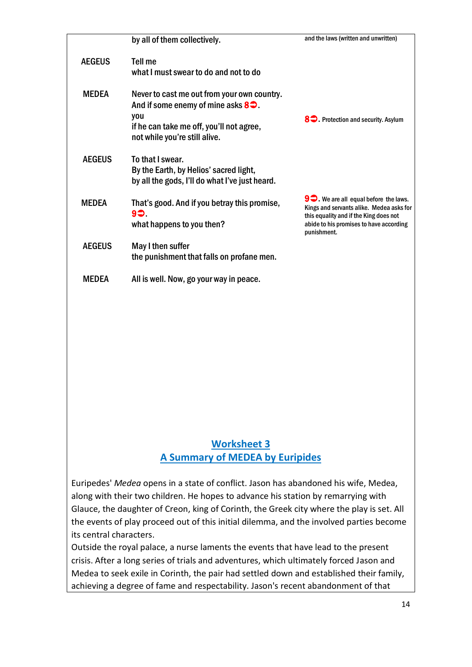|               | by all of them collectively.                                                                                                                                                   | and the laws (written and unwritten)                                                                                                                                                          |
|---------------|--------------------------------------------------------------------------------------------------------------------------------------------------------------------------------|-----------------------------------------------------------------------------------------------------------------------------------------------------------------------------------------------|
| <b>AEGEUS</b> | Tell me<br>what I must swear to do and not to do                                                                                                                               |                                                                                                                                                                                               |
| <b>MEDEA</b>  | Never to cast me out from your own country.<br>And if some enemy of mine asks $8\degree$ .<br>you<br>if he can take me off, you'll not agree,<br>not while you're still alive. | 8 <sup>2</sup> Protection and security. Asylum                                                                                                                                                |
| <b>AEGEUS</b> | To that I swear.<br>By the Earth, by Helios' sacred light,<br>by all the gods, I'll do what I've just heard.                                                                   |                                                                                                                                                                                               |
| <b>MEDEA</b>  | That's good. And if you betray this promise,<br>90.<br>what happens to you then?                                                                                               | $9\bigcirc$ We are all equal before the laws.<br>Kings and servants alike. Medea asks for<br>this equality and if the King does not<br>abide to his promises to have according<br>punishment. |
| <b>AEGEUS</b> | May I then suffer<br>the punishment that falls on profane men.                                                                                                                 |                                                                                                                                                                                               |
| <b>MFDFA</b>  | All is well. Now, go your way in peace.                                                                                                                                        |                                                                                                                                                                                               |

#### **Worksheet 3 A Summary of MEDEA by Euripides**

Euripedes' *Medea* opens in a state of conflict. Jason has abandoned his wife, Medea, along with their two children. He hopes to advance his station by remarrying with Glauce, the daughter of Creon, king of Corinth, the Greek city where the play is set. All the events of play proceed out of this initial dilemma, and the involved parties become its central characters.

Outside the royal palace, a nurse laments the events that have lead to the present crisis. After a long series of trials and adventures, which ultimately forced Jason and Medea to seek exile in Corinth, the pair had settled down and established their family, achieving a degree of fame and respectability. Jason's recent abandonment of that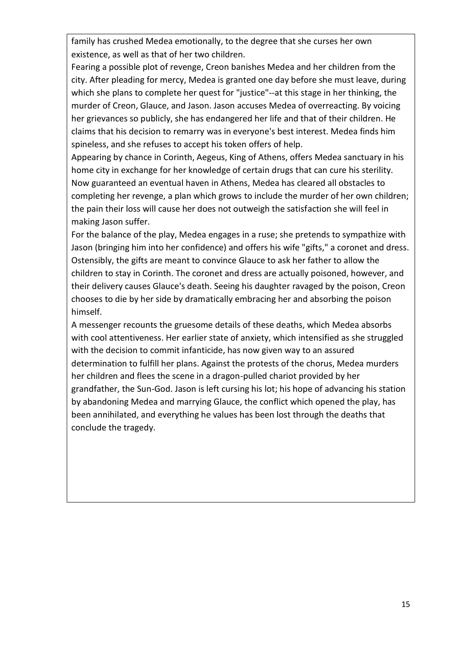family has crushed Medea emotionally, to the degree that she curses her own existence, as well as that of her two children.

Fearing a possible plot of revenge, Creon banishes Medea and her children from the city. After pleading for mercy, Medea is granted one day before she must leave, during which she plans to complete her quest for "justice"--at this stage in her thinking, the murder of Creon, Glauce, and Jason. Jason accuses Medea of overreacting. By voicing her grievances so publicly, she has endangered her life and that of their children. He claims that his decision to remarry was in everyone's best interest. Medea finds him spineless, and she refuses to accept his token offers of help.

Appearing by chance in Corinth, Aegeus, King of Athens, offers Medea sanctuary in his home city in exchange for her knowledge of certain drugs that can cure his sterility. Now guaranteed an eventual haven in Athens, Medea has cleared all obstacles to completing her revenge, a plan which grows to include the murder of her own children; the pain their loss will cause her does not outweigh the satisfaction she will feel in making Jason suffer.

For the balance of the play, Medea engages in a ruse; she pretends to sympathize with Jason (bringing him into her confidence) and offers his wife "gifts," a coronet and dress. Ostensibly, the gifts are meant to convince Glauce to ask her father to allow the children to stay in Corinth. The coronet and dress are actually poisoned, however, and their delivery causes Glauce's death. Seeing his daughter ravaged by the poison, Creon chooses to die by her side by dramatically embracing her and absorbing the poison himself.

A messenger recounts the gruesome details of these deaths, which Medea absorbs with cool attentiveness. Her earlier state of anxiety, which intensified as she struggled with the decision to commit infanticide, has now given way to an assured determination to fulfill her plans. Against the protests of the chorus, Medea murders her children and flees the scene in a dragon-pulled chariot provided by her grandfather, the Sun-God. Jason is left cursing his lot; his hope of advancing his station by abandoning Medea and marrying Glauce, the conflict which opened the play, has been annihilated, and everything he values has been lost through the deaths that conclude the tragedy.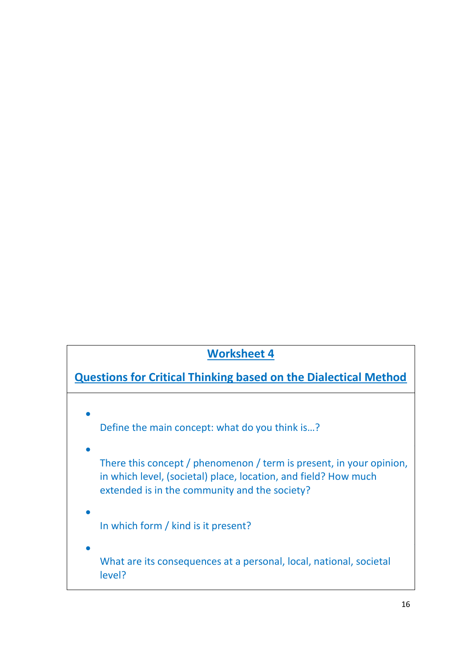# **Worksheet 4**

# **Questions for Critical Thinking based on the Dialectical Method**

• D Define the main concept: what do you think is…?

- We are the contract of the contract of the contract of the contract of the contract of the contract of There this concept / phenomenon / term is present, in your opinion, in which level, (societal) place, location, and field? How much extended is in the community and the society?
- $\bullet$  In the contract of the contract of the contract of the contract of the contract of the contract of the contract of the contract of the contract of the contract of the contract of the contract of the contract of the c In which form / kind is it present?
- We are the contract of the contract of the contract of the contract of the contract of the contract of What are its consequences at a personal, local, national, societal level?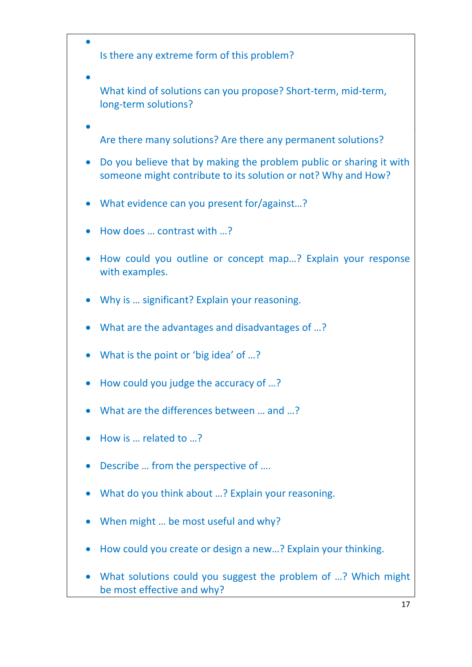$\bullet$  In the contract of the contract of the contract of the contract of the contract of the contract of the contract of the contract of the contract of the contract of the contract of the contract of the contract of the c Is there any extreme form of this problem?

- We are the contract of the contract of the contract of the contract of the contract of the contract of What kind of solutions can you propose? Short-term, mid-term, long-term solutions?
- $\bullet$  and  $\bullet$  and  $\bullet$  and  $\bullet$  and  $\bullet$  and  $\bullet$  and  $\bullet$  and  $\bullet$  and  $\bullet$  and  $\bullet$  and  $\bullet$  and  $\bullet$ Are there many solutions? Are there any permanent solutions?
- Do you believe that by making the problem public or sharing it with someone might contribute to its solution or not? Why and How?
- What evidence can you present for/against…?
- How does … contrast with …?
- How could you outline or concept map…? Explain your response with examples.
- Why is … significant? Explain your reasoning.
- What are the advantages and disadvantages of …?
- What is the point or 'big idea' of ...?
- How could you judge the accuracy of …?
- What are the differences between ... and ...?
- How is … related to …?
- Describe … from the perspective of ….
- What do you think about …? Explain your reasoning.
- When might ... be most useful and why?
- How could you create or design a new…? Explain your thinking.
- What solutions could you suggest the problem of …? Which might be most effective and why?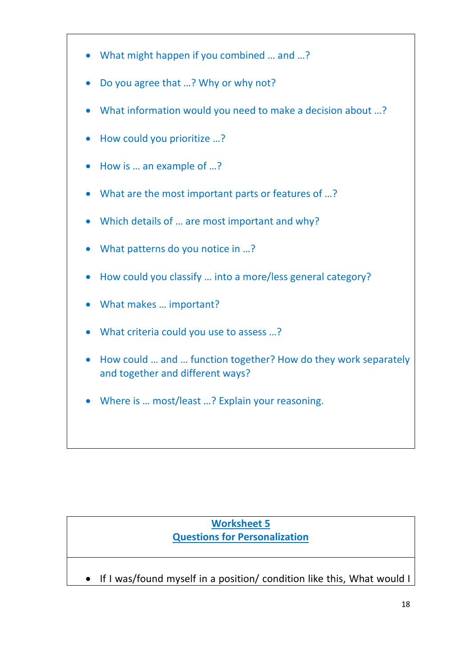- What might happen if you combined … and …?
- Do you agree that ...? Why or why not?
- What information would you need to make a decision about ...?
- How could you prioritize …?
- How is … an example of …?
- What are the most important parts or features of ...?
- Which details of … are most important and why?
- What patterns do you notice in ...?
- How could you classify … into a more/less general category?
- What makes … important?
- What criteria could you use to assess ...?
- How could … and … function together? How do they work separately and together and different ways?
- Where is … most/least …? Explain your reasoning.

## **Worksheet 5 Questions for Personalization**

• If I was/found myself in a position/ condition like this, What would I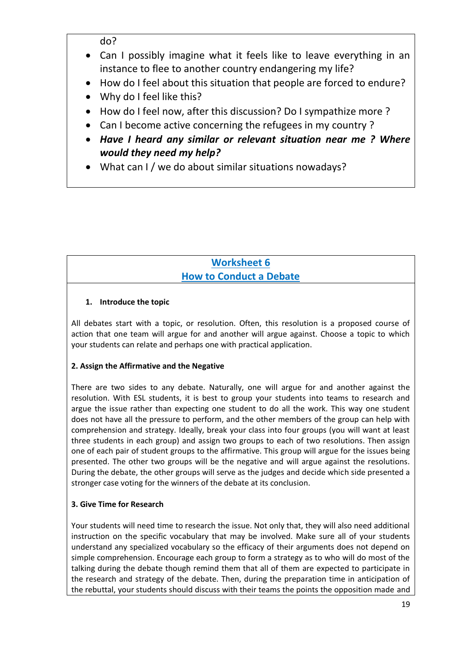- Can I possibly imagine what it feels like to leave everything in an instance to flee to another country endangering my life?
- How do I feel about this situation that people are forced to endure?
- Why do I feel like this?
- How do I feel now, after this discussion? Do I sympathize more ?
- Can I become active concerning the refugees in my country ?
- *Have I heard any similar or relevant situation near me ? Where would they need my help?*
- What can I / we do about similar situations nowadays?

## **Worksheet 6 How to Conduct a Debate**

#### **1. Introduce the topic**

All debates start with a topic, or resolution. Often, this resolution is a proposed course of action that one team will argue for and another will argue against. Choose a topic to which your students can relate and perhaps one with practical application.

#### **2. Assign the Affirmative and the Negative**

There are two sides to any debate. Naturally, one will argue for and another against the resolution. With ESL students, it is best to group your students into teams to research and argue the issue rather than expecting one student to do all the work. This way one student does not have all the pressure to perform, and the other members of the group can help with comprehension and strategy. Ideally, break your class into four groups (you will want at least three students in each group) and assign two groups to each of two resolutions. Then assign one of each pair of student groups to the affirmative. This group will argue for the issues being presented. The other two groups will be the negative and will argue against the resolutions. During the debate, the other groups will serve as the judges and decide which side presented a stronger case voting for the winners of the debate at its conclusion.

#### **3. Give Time for Research**

Your students will need time to research the issue. Not only that, they will also need additional instruction on the specific vocabulary that may be involved. Make sure all of your students understand any specialized vocabulary so the efficacy of their arguments does not depend on simple comprehension. Encourage each group to form a strategy as to who will do most of the talking during the debate though remind them that all of them are expected to participate in the research and strategy of the debate. Then, during the preparation time in anticipation of the rebuttal, your students should discuss with their teams the points the opposition made and